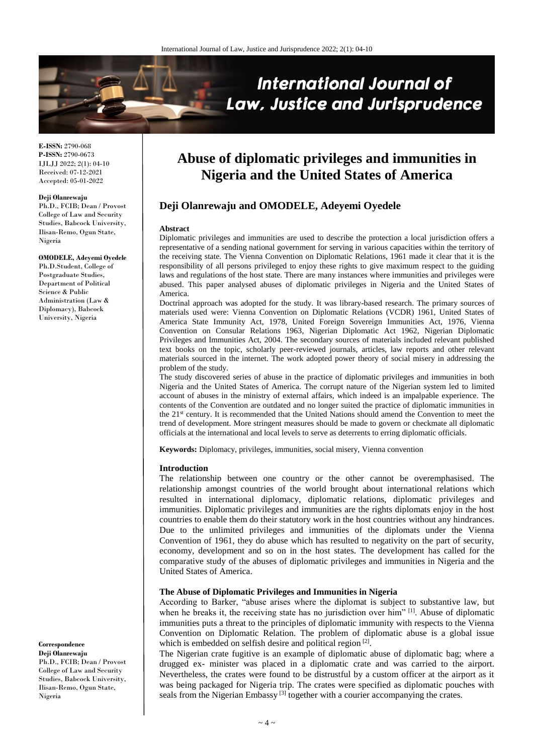

**E-ISSN:** 2790-068 **P-ISSN:** 2790-0673 IJLJJ 2022; 2(1): 04-10 Received: 07-12-2021 Accepted: 05-01-2022

#### **Deji Olanrewaju**

Ph.D., FCIB; Dean / Provost College of Law and Security Studies, Babcock University, Ilisan-Remo, Ogun State, Nigeria

#### **OMODELE, Adeyemi Oyedele**

Ph.D.Student, College of Postgraduate Studies. Department of Political Science & Public Administration (Law & Diplomacy), Babcock University, Nigeria

**Correspondence Deji Olanrewaju** Ph.D., FCIB; Dean / Provost College of Law and Security

Studies, Babcock University, Ilisan-Remo, Ogun State, Nigeria

# **Abuse of diplomatic privileges and immunities in Nigeria and the United States of America**

## **Deji Olanrewaju and OMODELE, Adeyemi Oyedele**

#### **Abstract**

Diplomatic privileges and immunities are used to describe the protection a local jurisdiction offers a representative of a sending national government for serving in various capacities within the territory of the receiving state. The Vienna Convention on Diplomatic Relations, 1961 made it clear that it is the responsibility of all persons privileged to enjoy these rights to give maximum respect to the guiding laws and regulations of the host state. There are many instances where immunities and privileges were abused. This paper analysed abuses of diplomatic privileges in Nigeria and the United States of America.

Doctrinal approach was adopted for the study. It was library-based research. The primary sources of materials used were: Vienna Convention on Diplomatic Relations (VCDR) 1961, United States of America State Immunity Act, 1978, United Foreign Sovereign Immunities Act, 1976, Vienna Convention on Consular Relations 1963, Nigerian Diplomatic Act 1962, Nigerian Diplomatic Privileges and Immunities Act, 2004. The secondary sources of materials included relevant published text books on the topic, scholarly peer-reviewed journals, articles, law reports and other relevant materials sourced in the internet. The work adopted power theory of social misery in addressing the problem of the study.

The study discovered series of abuse in the practice of diplomatic privileges and immunities in both Nigeria and the United States of America. The corrupt nature of the Nigerian system led to limited account of abuses in the ministry of external affairs, which indeed is an impalpable experience. The contents of the Convention are outdated and no longer suited the practice of diplomatic immunities in the 21st century. It is recommended that the United Nations should amend the Convention to meet the trend of development. More stringent measures should be made to govern or checkmate all diplomatic officials at the international and local levels to serve as deterrents to erring diplomatic officials.

**Keywords:** Diplomacy, privileges, immunities, social misery, Vienna convention

#### **Introduction**

The relationship between one country or the other cannot be overemphasised. The relationship amongst countries of the world brought about international relations which resulted in international diplomacy, diplomatic relations, diplomatic privileges and immunities. Diplomatic privileges and immunities are the rights diplomats enjoy in the host countries to enable them do their statutory work in the host countries without any hindrances. Due to the unlimited privileges and immunities of the diplomats under the Vienna Convention of 1961, they do abuse which has resulted to negativity on the part of security, economy, development and so on in the host states. The development has called for the comparative study of the abuses of diplomatic privileges and immunities in Nigeria and the United States of America.

## **The Abuse of Diplomatic Privileges and Immunities in Nigeria**

According to Barker, "abuse arises where the diplomat is subject to substantive law, but when he breaks it, the receiving state has no jurisdiction over him" <sup>[1]</sup>. Abuse of diplomatic immunities puts a threat to the principles of diplomatic immunity with respects to the Vienna Convention on Diplomatic Relation. The problem of diplomatic abuse is a global issue which is embedded on selfish desire and political region  $[2]$ .

The Nigerian crate fugitive is an example of diplomatic abuse of diplomatic bag; where a drugged ex- minister was placed in a diplomatic crate and was carried to the airport. Nevertheless, the crates were found to be distrustful by a custom officer at the airport as it was being packaged for Nigeria trip. The crates were specified as diplomatic pouches with seals from the Nigerian Embassy<sup>[3]</sup> together with a courier accompanying the crates.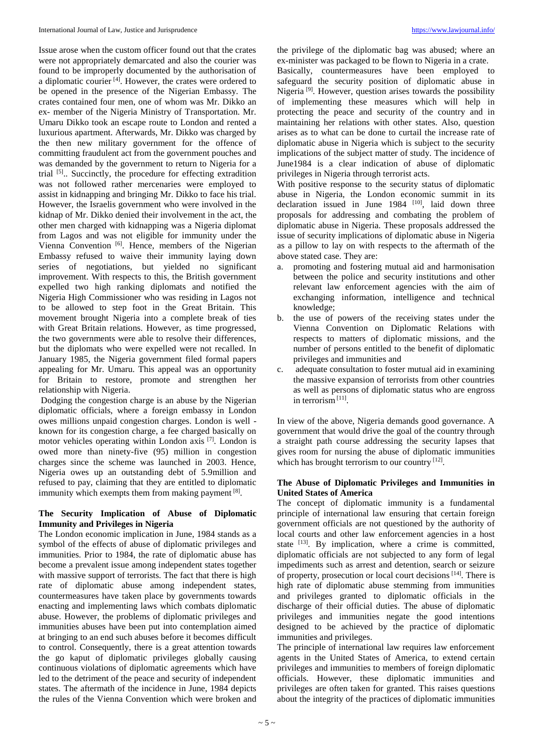Issue arose when the custom officer found out that the crates were not appropriately demarcated and also the courier was found to be improperly documented by the authorisation of a diplomatic courier<sup>[4]</sup>. However, the crates were ordered to be opened in the presence of the Nigerian Embassy. The crates contained four men, one of whom was Mr. Dikko an ex- member of the Nigeria Ministry of Transportation. Mr. Umaru Dikko took an escape route to London and rented a luxurious apartment. Afterwards, Mr. Dikko was charged by the then new military government for the offence of committing fraudulent act from the government pouches and was demanded by the government to return to Nigeria for a trial <sup>[5]</sup>.. Succinctly, the procedure for effecting extradition was not followed rather mercenaries were employed to assist in kidnapping and bringing Mr. Dikko to face his trial. However, the Israelis government who were involved in the kidnap of Mr. Dikko denied their involvement in the act, the other men charged with kidnapping was a Nigeria diplomat from Lagos and was not eligible for immunity under the Vienna Convention<sup>[6]</sup>. Hence, members of the Nigerian Embassy refused to waive their immunity laying down series of negotiations, but yielded no significant improvement. With respects to this, the British government expelled two high ranking diplomats and notified the Nigeria High Commissioner who was residing in Lagos not to be allowed to step foot in the Great Britain. This movement brought Nigeria into a complete break of ties with Great Britain relations. However, as time progressed, the two governments were able to resolve their differences, but the diplomats who were expelled were not recalled. In January 1985, the Nigeria government filed formal papers appealing for Mr. Umaru. This appeal was an opportunity for Britain to restore, promote and strengthen her relationship with Nigeria.

Dodging the congestion charge is an abuse by the Nigerian diplomatic officials, where a foreign embassy in London owes millions unpaid congestion charges. London is well known for its congestion charge, a fee charged basically on motor vehicles operating within London axis [7] . London is owed more than ninety-five (95) million in congestion charges since the scheme was launched in 2003. Hence, Nigeria owes up an outstanding debt of 5.9million and refused to pay, claiming that they are entitled to diplomatic immunity which exempts them from making payment  $[8]$ .

## **The Security Implication of Abuse of Diplomatic Immunity and Privileges in Nigeria**

The London economic implication in June, 1984 stands as a symbol of the effects of abuse of diplomatic privileges and immunities. Prior to 1984, the rate of diplomatic abuse has become a prevalent issue among independent states together with massive support of terrorists. The fact that there is high rate of diplomatic abuse among independent states, countermeasures have taken place by governments towards enacting and implementing laws which combats diplomatic abuse. However, the problems of diplomatic privileges and immunities abuses have been put into contemplation aimed at bringing to an end such abuses before it becomes difficult to control. Consequently, there is a great attention towards the go kaput of diplomatic privileges globally causing continuous violations of diplomatic agreements which have led to the detriment of the peace and security of independent states. The aftermath of the incidence in June, 1984 depicts the rules of the Vienna Convention which were broken and

the privilege of the diplomatic bag was abused; where an ex-minister was packaged to be flown to Nigeria in a crate.

Basically, countermeasures have been employed to safeguard the security position of diplomatic abuse in Nigeria<sup>[9]</sup>. However, question arises towards the possibility of implementing these measures which will help in protecting the peace and security of the country and in maintaining her relations with other states. Also, question arises as to what can be done to curtail the increase rate of diplomatic abuse in Nigeria which is subject to the security implications of the subject matter of study. The incidence of June1984 is a clear indication of abuse of diplomatic privileges in Nigeria through terrorist acts.

With positive response to the security status of diplomatic abuse in Nigeria, the London economic summit in its declaration issued in June 1984 <sup>[10]</sup>, laid down three proposals for addressing and combating the problem of diplomatic abuse in Nigeria. These proposals addressed the issue of security implications of diplomatic abuse in Nigeria as a pillow to lay on with respects to the aftermath of the above stated case. They are:

- a. promoting and fostering mutual aid and harmonisation between the police and security institutions and other relevant law enforcement agencies with the aim of exchanging information, intelligence and technical knowledge;
- b. the use of powers of the receiving states under the Vienna Convention on Diplomatic Relations with respects to matters of diplomatic missions, and the number of persons entitled to the benefit of diplomatic privileges and immunities and
- c. adequate consultation to foster mutual aid in examining the massive expansion of terrorists from other countries as well as persons of diplomatic status who are engross in terrorism [11] .

In view of the above, Nigeria demands good governance. A government that would drive the goal of the country through a straight path course addressing the security lapses that gives room for nursing the abuse of diplomatic immunities which has brought terrorism to our country [12].

## **The Abuse of Diplomatic Privileges and Immunities in United States of America**

The concept of diplomatic immunity is a fundamental principle of international law ensuring that certain foreign government officials are not questioned by the authority of local courts and other law enforcement agencies in a host state  $[13]$ . By implication, where a crime is committed, diplomatic officials are not subjected to any form of legal impediments such as arrest and detention, search or seizure of property, prosecution or local court decisions [14]. There is high rate of diplomatic abuse stemming from immunities and privileges granted to diplomatic officials in the discharge of their official duties. The abuse of diplomatic privileges and immunities negate the good intentions designed to be achieved by the practice of diplomatic immunities and privileges.

The principle of international law requires law enforcement agents in the United States of America, to extend certain privileges and immunities to members of foreign diplomatic officials. However, these diplomatic immunities and privileges are often taken for granted. This raises questions about the integrity of the practices of diplomatic immunities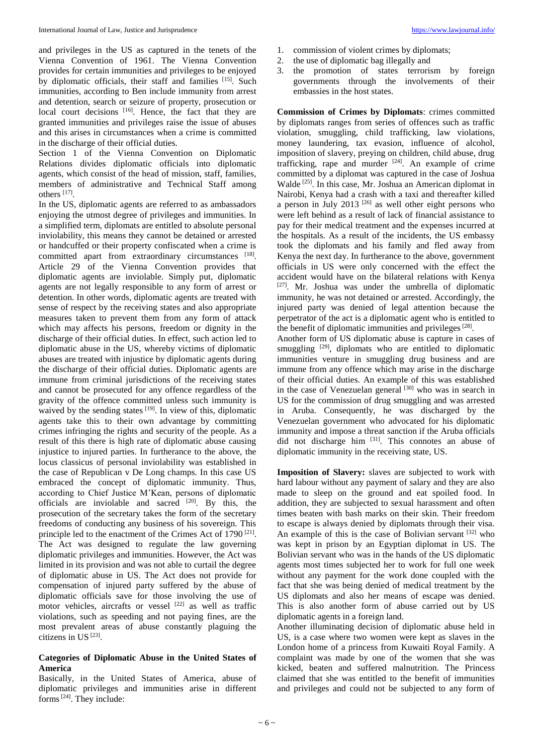and privileges in the US as captured in the tenets of the Vienna Convention of 1961. The Vienna Convention provides for certain immunities and privileges to be enjoyed by diplomatic officials, their staff and families [15]. Such immunities, according to Ben include immunity from arrest and detention, search or seizure of property, prosecution or local court decisions [16]. Hence, the fact that they are granted immunities and privileges raise the issue of abuses and this arises in circumstances when a crime is committed in the discharge of their official duties.

Section 1 of the Vienna Convention on Diplomatic Relations divides diplomatic officials into diplomatic agents, which consist of the head of mission, staff, families, members of administrative and Technical Staff among others [17] .

In the US, diplomatic agents are referred to as ambassadors enjoying the utmost degree of privileges and immunities. In a simplified term, diplomats are entitled to absolute personal inviolability, this means they cannot be detained or arrested or handcuffed or their property confiscated when a crime is committed apart from extraordinary circumstances [18]. Article 29 of the Vienna Convention provides that diplomatic agents are inviolable. Simply put, diplomatic agents are not legally responsible to any form of arrest or detention. In other words, diplomatic agents are treated with sense of respect by the receiving states and also appropriate measures taken to prevent them from any form of attack which may affects his persons, freedom or dignity in the discharge of their official duties. In effect, such action led to diplomatic abuse in the US, whereby victims of diplomatic abuses are treated with injustice by diplomatic agents during the discharge of their official duties. Diplomatic agents are immune from criminal jurisdictions of the receiving states and cannot be prosecuted for any offence regardless of the gravity of the offence committed unless such immunity is waived by the sending states  $[19]$ . In view of this, diplomatic agents take this to their own advantage by committing crimes infringing the rights and security of the people. As a result of this there is high rate of diplomatic abuse causing injustice to injured parties. In furtherance to the above, the locus classicus of personal inviolability was established in the case of Republican v De Long champs. In this case US embraced the concept of diplomatic immunity. Thus, according to Chief Justice M'Kean, persons of diplomatic officials are inviolable and sacred  $[20]$ . By this, the prosecution of the secretary takes the form of the secretary freedoms of conducting any business of his sovereign. This principle led to the enactment of the Crimes Act of 1790<sup>[21]</sup>. The Act was designed to regulate the law governing diplomatic privileges and immunities. However, the Act was limited in its provision and was not able to curtail the degree of diplomatic abuse in US. The Act does not provide for compensation of injured party suffered by the abuse of diplomatic officials save for those involving the use of motor vehicles, aircrafts or vessel  $[22]$  as well as traffic violations, such as speeding and not paying fines, are the most prevalent areas of abuse constantly plaguing the citizens in US<sup>[23]</sup>.

## **Categories of Diplomatic Abuse in the United States of America**

Basically, in the United States of America, abuse of diplomatic privileges and immunities arise in different forms[24]. They include:

- 1. commission of violent crimes by diplomats;
- 2. the use of diplomatic bag illegally and
- 3. the promotion of states terrorism by foreign governments through the involvements of their embassies in the host states.

**Commission of Crimes by Diplomats**: crimes committed by diplomats ranges from series of offences such as traffic violation, smuggling, child trafficking, law violations, money laundering, tax evasion, influence of alcohol, imposition of slavery, preying on children, child abuse, drug trafficking, rape and murder  $[24]$ . An example of crime committed by a diplomat was captured in the case of Joshua Walde<sup>[25]</sup>. In this case, Mr. Joshua an American diplomat in Nairobi, Kenya had a crash with a taxi and thereafter killed a person in July 2013  $[26]$  as well other eight persons who were left behind as a result of lack of financial assistance to pay for their medical treatment and the expenses incurred at the hospitals. As a result of the incidents, the US embassy took the diplomats and his family and fled away from Kenya the next day. In furtherance to the above, government officials in US were only concerned with the effect the accident would have on the bilateral relations with Kenya [27]. Mr. Joshua was under the umbrella of diplomatic immunity, he was not detained or arrested. Accordingly, the injured party was denied of legal attention because the perpetrator of the act is a diplomatic agent who is entitled to the benefit of diplomatic immunities and privileges<sup>[28]</sup>.

Another form of US diplomatic abuse is capture in cases of smuggling  $[29]$ , diplomats who are entitled to diplomatic immunities venture in smuggling drug business and are immune from any offence which may arise in the discharge of their official duties. An example of this was established in the case of Venezuelan general  $[30]$  who was in search in US for the commission of drug smuggling and was arrested in Aruba. Consequently, he was discharged by the Venezuelan government who advocated for his diplomatic immunity and impose a threat sanction if the Aruba officials did not discharge him <sup>[31]</sup>. This connotes an abuse of diplomatic immunity in the receiving state, US.

**Imposition of Slavery:** slaves are subjected to work with hard labour without any payment of salary and they are also made to sleep on the ground and eat spoiled food. In addition, they are subjected to sexual harassment and often times beaten with bash marks on their skin. Their freedom to escape is always denied by diplomats through their visa. An example of this is the case of Bolivian servant [32] who was kept in prison by an Egyptian diplomat in US. The Bolivian servant who was in the hands of the US diplomatic agents most times subjected her to work for full one week without any payment for the work done coupled with the fact that she was being denied of medical treatment by the US diplomats and also her means of escape was denied. This is also another form of abuse carried out by US diplomatic agents in a foreign land.

Another illuminating decision of diplomatic abuse held in US, is a case where two women were kept as slaves in the London home of a princess from Kuwaiti Royal Family. A complaint was made by one of the women that she was kicked, beaten and suffered malnutrition. The Princess claimed that she was entitled to the benefit of immunities and privileges and could not be subjected to any form of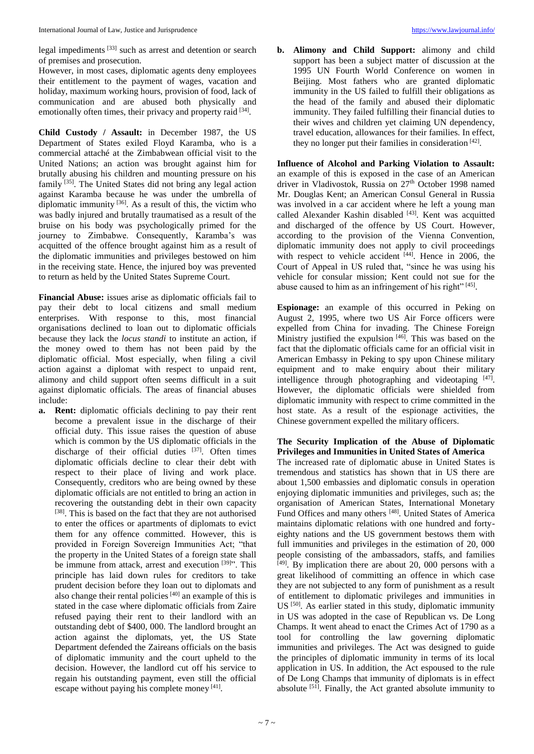legal impediments [33] such as arrest and detention or search of premises and prosecution.

However, in most cases, diplomatic agents deny employees their entitlement to the payment of wages, vacation and holiday, maximum working hours, provision of food, lack of communication and are abused both physically and emotionally often times, their privacy and property raid [34].

**Child Custody / Assault:** in December 1987, the US Department of States exiled Floyd Karamba, who is a commercial attaché at the Zimbabwean official visit to the United Nations; an action was brought against him for brutally abusing his children and mounting pressure on his family [35]. The United States did not bring any legal action against Karamba because he was under the umbrella of diplomatic immunity <sup>[36]</sup>. As a result of this, the victim who was badly injured and brutally traumatised as a result of the bruise on his body was psychologically primed for the journey to Zimbabwe. Consequently, Karamba's was acquitted of the offence brought against him as a result of the diplomatic immunities and privileges bestowed on him in the receiving state. Hence, the injured boy was prevented to return as held by the United States Supreme Court.

**Financial Abuse:** issues arise as diplomatic officials fail to pay their debt to local citizens and small medium enterprises. With response to this, most financial organisations declined to loan out to diplomatic officials because they lack the *locus standi* to institute an action, if the money owed to them has not been paid by the diplomatic official. Most especially, when filing a civil action against a diplomat with respect to unpaid rent, alimony and child support often seems difficult in a suit against diplomatic officials. The areas of financial abuses include:

**a. Rent:** diplomatic officials declining to pay their rent become a prevalent issue in the discharge of their official duty. This issue raises the question of abuse which is common by the US diplomatic officials in the discharge of their official duties [37]. Often times diplomatic officials decline to clear their debt with respect to their place of living and work place. Consequently, creditors who are being owned by these diplomatic officials are not entitled to bring an action in recovering the outstanding debt in their own capacity [38]. This is based on the fact that they are not authorised to enter the offices or apartments of diplomats to evict them for any offence committed. However, this is provided in Foreign Sovereign Immunities Act; "that the property in the United States of a foreign state shall be immune from attack, arrest and execution [39]". This principle has laid down rules for creditors to take prudent decision before they loan out to diplomats and also change their rental policies<sup>[40]</sup> an example of this is stated in the case where diplomatic officials from Zaire refused paying their rent to their landlord with an outstanding debt of \$400, 000. The landlord brought an action against the diplomats, yet, the US State Department defended the Zaireans officials on the basis of diplomatic immunity and the court upheld to the decision. However, the landlord cut off his service to regain his outstanding payment, even still the official escape without paying his complete money  $[41]$ .

**b. Alimony and Child Support:** alimony and child support has been a subject matter of discussion at the 1995 UN Fourth World Conference on women in Beijing. Most fathers who are granted diplomatic immunity in the US failed to fulfill their obligations as the head of the family and abused their diplomatic immunity. They failed fulfilling their financial duties to their wives and children yet claiming UN dependency, travel education, allowances for their families. In effect, they no longer put their families in consideration [42].

**Influence of Alcohol and Parking Violation to Assault:** an example of this is exposed in the case of an American driver in Vladivostok, Russia on 27<sup>th</sup> October 1998 named Mr. Douglas Kent; an American Consul General in Russia was involved in a car accident where he left a young man called Alexander Kashin disabled [43]. Kent was acquitted and discharged of the offence by US Court. However, according to the provision of the Vienna Convention, diplomatic immunity does not apply to civil proceedings with respect to vehicle accident [44]. Hence in 2006, the Court of Appeal in US ruled that, "since he was using his vehicle for consular mission; Kent could not sue for the abuse caused to him as an infringement of his right"<sup>[45]</sup>.

**Espionage:** an example of this occurred in Peking on August 2, 1995, where two US Air Force officers were expelled from China for invading. The Chinese Foreign Ministry justified the expulsion [46]. This was based on the fact that the diplomatic officials came for an official visit in American Embassy in Peking to spy upon Chinese military equipment and to make enquiry about their military intelligence through photographing and videotaping  $[47]$ . However, the diplomatic officials were shielded from diplomatic immunity with respect to crime committed in the host state. As a result of the espionage activities, the Chinese government expelled the military officers.

**The Security Implication of the Abuse of Diplomatic Privileges and Immunities in United States of America** The increased rate of diplomatic abuse in United States is

tremendous and statistics has shown that in US there are about 1,500 embassies and diplomatic consuls in operation enjoying diplomatic immunities and privileges, such as; the organisation of American States, International Monetary Fund Offices and many others [48]. United States of America maintains diplomatic relations with one hundred and fortyeighty nations and the US government bestows them with full immunities and privileges in the estimation of 20, 000 people consisting of the ambassadors, staffs, and families [49]. By implication there are about 20, 000 persons with a great likelihood of committing an offence in which case they are not subjected to any form of punishment as a result of entitlement to diplomatic privileges and immunities in US<sup>[50]</sup>. As earlier stated in this study, diplomatic immunity in US was adopted in the case of Republican vs. De Long Champs. It went ahead to enact the Crimes Act of 1790 as a tool for controlling the law governing diplomatic immunities and privileges. The Act was designed to guide the principles of diplomatic immunity in terms of its local application in US. In addition, the Act espoused to the rule of De Long Champs that immunity of diplomats is in effect absolute  $[51]$ . Finally, the Act granted absolute immunity to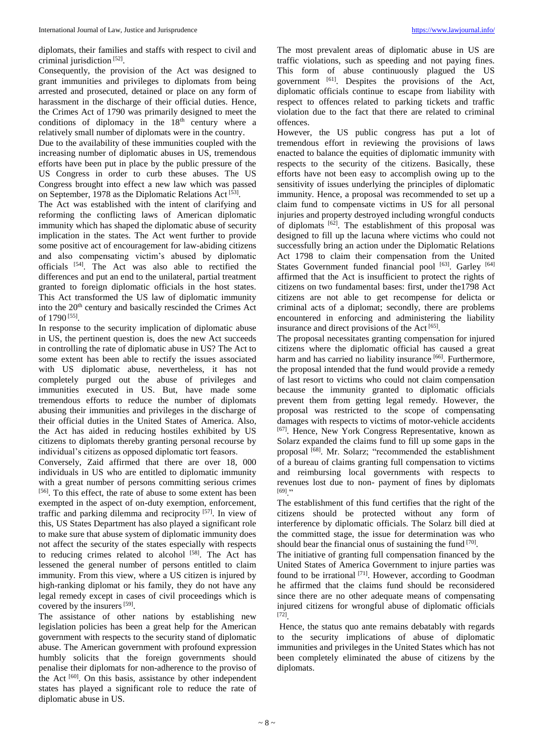diplomats, their families and staffs with respect to civil and criminal jurisdiction [52] .

Consequently, the provision of the Act was designed to grant immunities and privileges to diplomats from being arrested and prosecuted, detained or place on any form of harassment in the discharge of their official duties. Hence, the Crimes Act of 1790 was primarily designed to meet the conditions of diplomacy in the  $18<sup>th</sup>$  century where a relatively small number of diplomats were in the country.

Due to the availability of these immunities coupled with the increasing number of diplomatic abuses in US, tremendous efforts have been put in place by the public pressure of the US Congress in order to curb these abuses. The US Congress brought into effect a new law which was passed on September, 1978 as the Diplomatic Relations Act [53].

The Act was established with the intent of clarifying and reforming the conflicting laws of American diplomatic immunity which has shaped the diplomatic abuse of security implication in the states. The Act went further to provide some positive act of encouragement for law-abiding citizens and also compensating victim's abused by diplomatic officials [54]. The Act was also able to rectified the differences and put an end to the unilateral, partial treatment granted to foreign diplomatic officials in the host states. This Act transformed the US law of diplomatic immunity into the 20<sup>th</sup> century and basically rescinded the Crimes Act of 1790 [55] .

In response to the security implication of diplomatic abuse in US, the pertinent question is, does the new Act succeeds in controlling the rate of diplomatic abuse in US? The Act to some extent has been able to rectify the issues associated with US diplomatic abuse, nevertheless, it has not completely purged out the abuse of privileges and immunities executed in US. But, have made some tremendous efforts to reduce the number of diplomats abusing their immunities and privileges in the discharge of their official duties in the United States of America. Also, the Act has aided in reducing hostiles exhibited by US citizens to diplomats thereby granting personal recourse by individual's citizens as opposed diplomatic tort feasors.

Conversely, Zaid affirmed that there are over 18, 000 individuals in US who are entitled to diplomatic immunity with a great number of persons committing serious crimes [56]. To this effect, the rate of abuse to some extent has been exempted in the aspect of on-duty exemption, enforcement, traffic and parking dilemma and reciprocity [57]. In view of this, US States Department has also played a significant role to make sure that abuse system of diplomatic immunity does not affect the security of the states especially with respects to reducing crimes related to alcohol [58]. The Act has lessened the general number of persons entitled to claim immunity. From this view, where a US citizen is injured by high-ranking diplomat or his family, they do not have any legal remedy except in cases of civil proceedings which is covered by the insurers<sup>[59]</sup>.

The assistance of other nations by establishing new legislation policies has been a great help for the American government with respects to the security stand of diplomatic abuse. The American government with profound expression humbly solicits that the foreign governments should penalise their diplomats for non-adherence to the proviso of the Act <sup>[60]</sup>. On this basis, assistance by other independent states has played a significant role to reduce the rate of diplomatic abuse in US.

The most prevalent areas of diplomatic abuse in US are traffic violations, such as speeding and not paying fines. This form of abuse continuously plagued the US government <sup>[61]</sup>. Despites the provisions of the Act, diplomatic officials continue to escape from liability with respect to offences related to parking tickets and traffic violation due to the fact that there are related to criminal offences.

However, the US public congress has put a lot of tremendous effort in reviewing the provisions of laws enacted to balance the equities of diplomatic immunity with respects to the security of the citizens. Basically, these efforts have not been easy to accomplish owing up to the sensitivity of issues underlying the principles of diplomatic immunity. Hence, a proposal was recommended to set up a claim fund to compensate victims in US for all personal injuries and property destroyed including wrongful conducts of diplomats  $[62]$ . The establishment of this proposal was designed to fill up the lacuna where victims who could not successfully bring an action under the Diplomatic Relations Act 1798 to claim their compensation from the United States Government funded financial pool [63]. Garley [64] affirmed that the Act is insufficient to protect the rights of citizens on two fundamental bases: first, under the1798 Act citizens are not able to get recompense for delicta or criminal acts of a diplomat; secondly, there are problems encountered in enforcing and administering the liability insurance and direct provisions of the Act<sup>[65]</sup>.

The proposal necessitates granting compensation for injured citizens where the diplomatic official has caused a great harm and has carried no liability insurance<sup>[66]</sup>. Furthermore, the proposal intended that the fund would provide a remedy of last resort to victims who could not claim compensation because the immunity granted to diplomatic officials prevent them from getting legal remedy. However, the proposal was restricted to the scope of compensating damages with respects to victims of motor-vehicle accidents [67]. Hence, New York Congress Representative, known as Solarz expanded the claims fund to fill up some gaps in the proposal <sup>[68]</sup>. Mr. Solarz; "recommended the establishment of a bureau of claims granting full compensation to victims and reimbursing local governments with respects to revenues lost due to non- payment of fines by diplomats  $^{[69]}$ ."

The establishment of this fund certifies that the right of the citizens should be protected without any form of interference by diplomatic officials. The Solarz bill died at the committed stage, the issue for determination was who should bear the financial onus of sustaining the fund  $[70]$ .

The initiative of granting full compensation financed by the United States of America Government to injure parties was found to be irrational  $^{[71]}$ . However, according to Goodman he affirmed that the claims fund should be reconsidered since there are no other adequate means of compensating injured citizens for wrongful abuse of diplomatic officials [72] .

Hence, the status quo ante remains debatably with regards to the security implications of abuse of diplomatic immunities and privileges in the United States which has not been completely eliminated the abuse of citizens by the diplomats.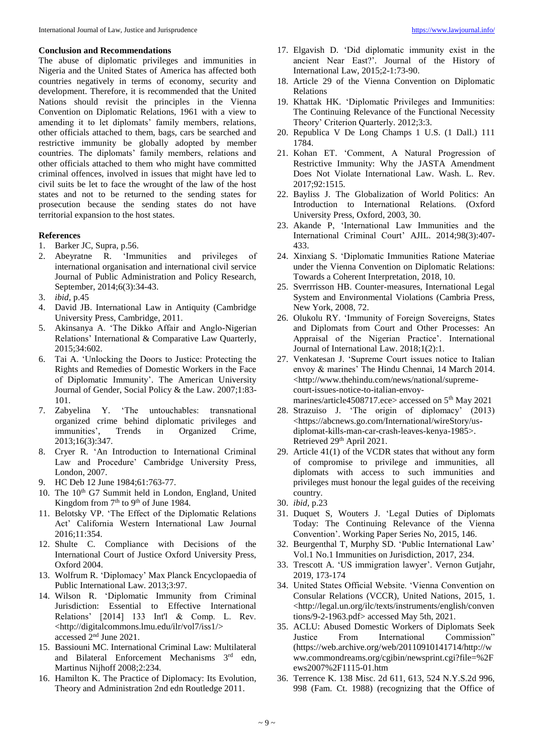#### **Conclusion and Recommendations**

The abuse of diplomatic privileges and immunities in Nigeria and the United States of America has affected both countries negatively in terms of economy, security and development. Therefore, it is recommended that the United Nations should revisit the principles in the Vienna Convention on Diplomatic Relations, 1961 with a view to amending it to let diplomats' family members, relations, other officials attached to them, bags, cars be searched and restrictive immunity be globally adopted by member countries. The diplomats' family members, relations and other officials attached to them who might have committed criminal offences, involved in issues that might have led to civil suits be let to face the wrought of the law of the host states and not to be returned to the sending states for prosecution because the sending states do not have territorial expansion to the host states.

### **References**

- 1. Barker JC, Supra, p.56.
- 2. Abeyratne R. 'Immunities and privileges of international organisation and international civil service Journal of Public Administration and Policy Research, September, 2014;6(3):34-43.
- 3. *ibid,* p.45
- 4. David JB. International Law in Antiquity (Cambridge University Press, Cambridge, 2011.
- 5. Akinsanya A. 'The Dikko Affair and Anglo-Nigerian Relations' International & Comparative Law Quarterly, 2015;34:602.
- 6. Tai A. 'Unlocking the Doors to Justice: Protecting the Rights and Remedies of Domestic Workers in the Face of Diplomatic Immunity'. The American University Journal of Gender, Social Policy & the Law. 2007;1:83- 101.
- 7. Zabyelina Y. 'The untouchables: transnational organized crime behind diplomatic privileges and immunities', Trends in Organized Crime, 2013;16(3):347.
- 8. Cryer R. 'An Introduction to International Criminal Law and Procedure' Cambridge University Press, London, 2007.
- 9. HC Deb 12 June 1984;61:763-77.
- 10. The 10<sup>th</sup> G7 Summit held in London, England, United Kingdom from  $7<sup>th</sup>$  to  $9<sup>th</sup>$  of June 1984.
- 11. Belotsky VP. 'The Effect of the Diplomatic Relations Act' California Western International Law Journal 2016;11:354.
- 12. Shulte C. Compliance with Decisions of the International Court of Justice Oxford University Press, Oxford 2004.
- 13. Wolfrum R. 'Diplomacy' Max Planck Encyclopaedia of Public International Law. 2013;3:97.
- 14. Wilson R. 'Diplomatic Immunity from Criminal Jurisdiction: Essential to Effective International Relations' [2014] 133 Int'l & Comp. L. Rev. <http://digitalcommons.lmu.edu/ilr/vol7/iss1/> accessed 2nd June 2021.
- 15. Bassiouni MC. International Criminal Law: Multilateral and Bilateral Enforcement Mechanisms 3<sup>rd</sup> edn, Martinus Nijhoff 2008;2:234.
- 16. Hamilton K. The Practice of Diplomacy: Its Evolution, Theory and Administration 2nd edn Routledge 2011.
- 17. Elgavish D. 'Did diplomatic immunity exist in the ancient Near East?'. Journal of the History of International Law, 2015;2-1:73-90.
- 18. Article 29 of the Vienna Convention on Diplomatic Relations
- 19. Khattak HK. 'Diplomatic Privileges and Immunities: The Continuing Relevance of the Functional Necessity Theory' Criterion Quarterly. 2012;3:3.
- 20. Republica V De Long Champs 1 U.S. (1 Dall.) 111 1784.
- 21. Kohan ET. 'Comment, A Natural Progression of Restrictive Immunity: Why the JASTA Amendment Does Not Violate International Law. Wash. L. Rev. 2017;92:1515.
- 22. Bayliss J. The Globalization of World Politics: An Introduction to International Relations. (Oxford University Press, Oxford, 2003, 30.
- 23. Akande P, 'International Law Immunities and the International Criminal Court' AJIL. 2014;98(3):407- 433.
- 24. Xinxiang S. 'Diplomatic Immunities Ratione Materiae under the Vienna Convention on Diplomatic Relations: Towards a Coherent Interpretation, 2018, 10.
- 25. Sverrrisson HB. Counter-measures, International Legal System and Environmental Violations (Cambria Press, New York, 2008, 72.
- 26. Olukolu RY. 'Immunity of Foreign Sovereigns, States and Diplomats from Court and Other Processes: An Appraisal of the Nigerian Practice'. International Journal of International Law. 2018;1(2):1.
- 27. Venkatesan J. 'Supreme Court issues notice to Italian envoy & marines' The Hindu Chennai, 14 March 2014. <http://www.thehindu.com/news/national/supremecourt-issues-notice-to-italian-envoymarines/article4508717.ece> accessed on 5th May 2021
- 28. Strazuiso J. 'The origin of diplomacy' (2013) <https://abcnews.go.com/International/wireStory/usdiplomat-kills-man-car-crash-leaves-kenya-1985>. Retrieved 29<sup>th</sup> April 2021.
- 29. Article 41(1) of the VCDR states that without any form of compromise to privilege and immunities, all diplomats with access to such immunities and privileges must honour the legal guides of the receiving country.
- 30. *ibid*, p.23
- 31. Duquet S, Wouters J. 'Legal Duties of Diplomats Today: The Continuing Relevance of the Vienna Convention'. Working Paper Series No, 2015, 146.
- 32. Beurgenthal T, Murphy SD. 'Public International Law' Vol.1 No.1 Immunities on Jurisdiction, 2017, 234.
- 33. Trescott A. 'US immigration lawyer'. Vernon Gutjahr, 2019, 173-174
- 34. United States Official Website. 'Vienna Convention on Consular Relations (VCCR), United Nations, 2015, 1. <http://legal.un.org/ilc/texts/instruments/english/conven tions/9-2-1963.pdf> accessed May 5th, 2021.
- 35. ACLU: Abused Domestic Workers of Diplomats Seek Justice From International Commission" (https://web.archive.org/web/20110910141714/http://w ww.commondreams.org/cgibin/newsprint.cgi?file=%2F ews2007%2F1115-01.htm
- 36. Terrence K. 138 Misc. 2d 611, 613, 524 N.Y.S.2d 996, 998 (Fam. Ct. 1988) (recognizing that the Office of